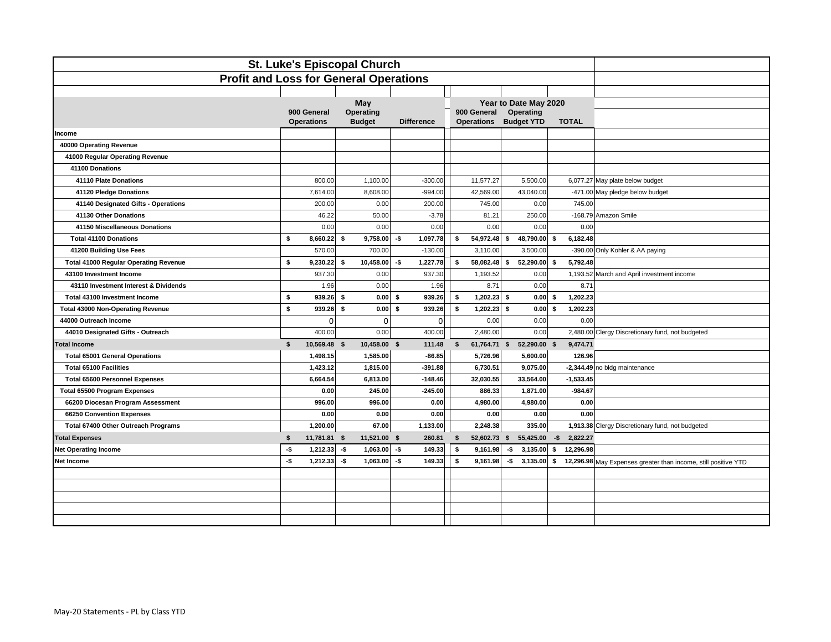| <b>St. Luke's Episcopal Church</b>            |                                           |                            |                   |   |                                           |                                |      |              |                                                                |
|-----------------------------------------------|-------------------------------------------|----------------------------|-------------------|---|-------------------------------------------|--------------------------------|------|--------------|----------------------------------------------------------------|
| <b>Profit and Loss for General Operations</b> |                                           |                            |                   |   |                                           |                                |      |              |                                                                |
|                                               |                                           |                            |                   |   |                                           |                                |      |              |                                                                |
|                                               |                                           | May                        |                   |   |                                           | Year to Date May 2020          |      |              |                                                                |
|                                               | 900 General<br><b>Operations</b>          | Operating<br><b>Budget</b> | <b>Difference</b> |   | 900 General<br>Operations                 | Operating<br><b>Budget YTD</b> |      | <b>TOTAL</b> |                                                                |
| Income                                        |                                           |                            |                   |   |                                           |                                |      |              |                                                                |
| 40000 Operating Revenue                       |                                           |                            |                   |   |                                           |                                |      |              |                                                                |
| 41000 Regular Operating Revenue               |                                           |                            |                   |   |                                           |                                |      |              |                                                                |
| 41100 Donations                               |                                           |                            |                   |   |                                           |                                |      |              |                                                                |
| 41110 Plate Donations                         | 800.00                                    | 1,100.00                   | $-300.00$         |   | 11,577.27                                 | 5,500.00                       |      |              | 6,077.27 May plate below budget                                |
| 41120 Pledge Donations                        | 7,614.00                                  | 8,608.00                   | $-994.00$         |   | 42,569.00                                 | 43,040.00                      |      |              | -471.00 May pledge below budget                                |
| 41140 Designated Gifts - Operations           | 200.00                                    | 0.00                       | 200.00            |   | 745.00                                    | 0.00                           |      | 745.00       |                                                                |
| 41130 Other Donations                         | 46.22                                     | 50.00                      | $-3.78$           |   | 81.21                                     | 250.00                         |      |              | -168.79 Amazon Smile                                           |
| 41150 Miscellaneous Donations                 | 0.00                                      | 0.00                       | 0.00              |   | 0.00                                      | 0.00                           |      | 0.00         |                                                                |
| <b>Total 41100 Donations</b>                  | \$<br>8,660.22                            | \$<br>9,758.00             | -\$<br>1,097.78   |   | \$<br>54,972.48                           | \$<br>48,790.00 \$             |      | 6,182.48     |                                                                |
| 41200 Building Use Fees                       | 570.00                                    | 700.00                     | $-130.00$         |   | 3,110.00                                  | 3,500.00                       |      |              | -390.00 Only Kohler & AA paying                                |
| <b>Total 41000 Regular Operating Revenue</b>  | \$<br>9,230.22                            | \$<br>10,458.00            | -\$<br>1,227.78   |   | \$<br>58,082.48                           | 52,290.00 \$<br>\$             |      | 5,792.48     |                                                                |
| 43100 Investment Income                       | 937.30                                    | 0.00                       | 937.30            |   | 1,193.52                                  | 0.00                           |      |              | 1,193.52 March and April investment income                     |
| 43110 Investment Interest & Dividends         | 1.96                                      | 0.00                       | 1.96              |   | 8.71                                      | 0.00                           |      | 8.71         |                                                                |
| Total 43100 Investment Income                 | \$<br>939.26                              | \$<br>0.00                 | 939.26<br>\$      |   | 1,202.23<br>\$                            | 0.00<br>\$                     | - \$ | 1,202.23     |                                                                |
| <b>Total 43000 Non-Operating Revenue</b>      | \$<br>939.26                              | <b>s</b><br>0.00           | 939.26<br>\$      |   | \$<br>1,202.23                            | 0.00<br>\$                     | - \$ | 1,202.23     |                                                                |
| 44000 Outreach Income                         | 0                                         | $\mathbf 0$                |                   | 0 | 0.00                                      | 0.00                           |      | 0.00         |                                                                |
| 44010 Designated Gifts - Outreach             | 400.00                                    | 0.00                       | 400.00            |   | 2,480.00                                  | 0.00                           |      |              | 2,480.00 Clergy Discretionary fund, not budgeted               |
| <b>Total Income</b>                           | 10,569.48 \$<br>\$                        | 10,458.00 \$               | 111.48            |   | 61,764.71 \$<br>$\boldsymbol{\mathsf{s}}$ | 52,290.00 \$                   |      | 9,474.71     |                                                                |
| <b>Total 65001 General Operations</b>         | 1,498.15                                  | 1,585.00                   | $-86.85$          |   | 5,726.96                                  | 5,600.00                       |      | 126.96       |                                                                |
| <b>Total 65100 Facilities</b>                 | 1,423.12                                  | 1,815.00                   | $-391.88$         |   | 6,730.51                                  | 9,075.00                       |      |              | -2,344.49 no bldg maintenance                                  |
| <b>Total 65600 Personnel Expenses</b>         | 6,664.54                                  | 6,813.00                   | $-148.46$         |   | 32,030.55                                 | 33,564.00                      |      | $-1,533.45$  |                                                                |
| <b>Total 65500 Program Expenses</b>           | 0.00                                      | 245.00                     | $-245.00$         |   | 886.33                                    | 1,871.00                       |      | $-984.67$    |                                                                |
| 66200 Diocesan Program Assessment             | 996.00                                    | 996.00                     | 0.00              |   | 4,980.00                                  | 4,980.00                       |      | 0.00         |                                                                |
| 66250 Convention Expenses                     | 0.00                                      | 0.00                       | 0.00              |   | 0.00                                      | 0.00                           |      | 0.00         |                                                                |
| Total 67400 Other Outreach Programs           | 1,200.00                                  | 67.00                      | 1,133.00          |   | 2,248.38                                  | 335.00                         |      |              | 1,913.38 Clergy Discretionary fund, not budgeted               |
| <b>Total Expenses</b>                         | $\boldsymbol{\mathsf{s}}$<br>11,781.81 \$ | 11,521.00 \$               | 260.81            |   | 52,602.73 \$<br>s.                        | 55,425.00                      | $-5$ | 2,822.27     |                                                                |
| <b>Net Operating Income</b>                   | $-5$<br>1,212.33                          | $-5$<br>1,063.00           | $-5$<br>149.33    |   | \$<br>9,161.98                            | -\$<br>3,135.00                | - \$ | 12,296.98    |                                                                |
| Net Income                                    | $-5$<br>1,212.33                          | -\$<br>1,063.00            | -\$<br>149.33     |   | \$<br>9,161.98                            | -\$<br>$3,135.00$ \$           |      |              | 12,296.98 May Expenses greater than income, still positive YTD |
|                                               |                                           |                            |                   |   |                                           |                                |      |              |                                                                |
|                                               |                                           |                            |                   |   |                                           |                                |      |              |                                                                |
|                                               |                                           |                            |                   |   |                                           |                                |      |              |                                                                |
|                                               |                                           |                            |                   |   |                                           |                                |      |              |                                                                |
|                                               |                                           |                            |                   |   |                                           |                                |      |              |                                                                |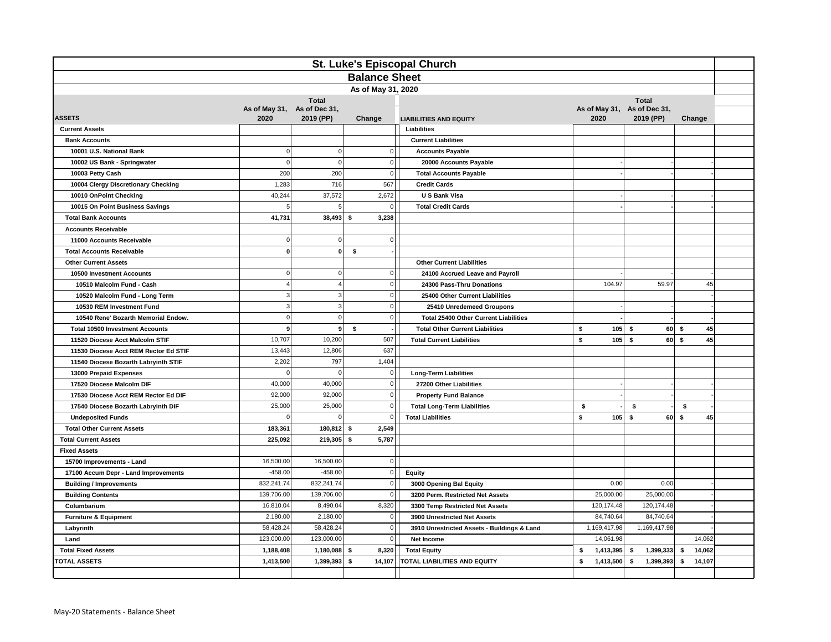| St. Luke's Episcopal Church            |                                     |                |                      |                                                                      |                 |                 |                  |  |
|----------------------------------------|-------------------------------------|----------------|----------------------|----------------------------------------------------------------------|-----------------|-----------------|------------------|--|
|                                        |                                     |                | <b>Balance Sheet</b> |                                                                      |                 |                 |                  |  |
| As of May 31, 2020                     |                                     |                |                      |                                                                      |                 |                 |                  |  |
|                                        |                                     | <b>Total</b>   | <b>Total</b>         |                                                                      |                 |                 |                  |  |
| <b>ASSETS</b>                          | As of May 31, As of Dec 31,<br>2020 | 2019 (PP)      | Change               | As of May 31, As of Dec 31,<br>2020<br><b>LIABILITIES AND EQUITY</b> |                 | 2019 (PP)       | Change           |  |
| <b>Current Assets</b>                  |                                     |                |                      | Liabilities                                                          |                 |                 |                  |  |
| <b>Bank Accounts</b>                   |                                     |                |                      | <b>Current Liabilities</b>                                           |                 |                 |                  |  |
| 10001 U.S. National Bank               | $\Omega$                            | $\mathbf 0$    |                      | $\overline{0}$<br><b>Accounts Payable</b>                            |                 |                 |                  |  |
| 10002 US Bank - Springwater            | $\mathbf 0$                         | $\mathbf 0$    |                      | $\overline{0}$<br>20000 Accounts Payable                             |                 |                 |                  |  |
| 10003 Petty Cash                       | 200                                 | 200            |                      | $\mathbf 0$<br><b>Total Accounts Payable</b>                         |                 |                 |                  |  |
| 10004 Clergy Discretionary Checking    | 1,283                               | 716            | 567                  | <b>Credit Cards</b>                                                  |                 |                 |                  |  |
| 10010 OnPoint Checking                 | 40,244                              | 37,572         | 2,672                | U S Bank Visa                                                        |                 |                 |                  |  |
| 10015 On Point Business Savings        | 5                                   | 5              |                      | $\mathbf 0$<br><b>Total Credit Cards</b>                             |                 |                 |                  |  |
| <b>Total Bank Accounts</b>             | 41,731                              | 38,493         | 3,238<br>\$          |                                                                      |                 |                 |                  |  |
| <b>Accounts Receivable</b>             |                                     |                |                      |                                                                      |                 |                 |                  |  |
| 11000 Accounts Receivable              | $\Omega$                            | 0              |                      | $\overline{0}$                                                       |                 |                 |                  |  |
| <b>Total Accounts Receivable</b>       | $\mathbf{o}$                        | $\mathbf{0}$   | \$                   |                                                                      |                 |                 |                  |  |
| <b>Other Current Assets</b>            |                                     |                |                      | <b>Other Current Liabilities</b>                                     |                 |                 |                  |  |
| 10500 Investment Accounts              | $\Omega$                            | $\mathbf 0$    |                      | $\overline{0}$<br>24100 Accrued Leave and Payroll                    |                 |                 |                  |  |
| 10510 Malcolm Fund - Cash              |                                     | $\overline{4}$ |                      | $\Omega$<br>24300 Pass-Thru Donations                                | 104.97          | 59.97           | 45               |  |
| 10520 Malcolm Fund - Long Term         | 3                                   | $\sqrt{3}$     |                      | $\mathbf 0$<br>25400 Other Current Liabilities                       |                 |                 |                  |  |
| 10530 REM Investment Fund              | 3                                   | $\mathbf{3}$   |                      | $\mathbf 0$<br>25410 Unredemeed Groupons                             |                 |                 |                  |  |
| 10540 Rene' Bozarth Memorial Endow.    | $\mathbf 0$                         | $\mathbf 0$    |                      | $\mathbf 0$<br><b>Total 25400 Other Current Liabilities</b>          |                 |                 |                  |  |
| <b>Total 10500 Investment Accounts</b> | $\overline{9}$                      | 9              | \$                   | <b>Total Other Current Liabilities</b>                               | \$<br>$105$ \$  | 60              | $\sqrt{2}$<br>45 |  |
| 11520 Diocese Acct Malcolm STIF        | 10,707                              | 10,200         | 507                  | <b>Total Current Liabilities</b>                                     | \$<br>105       | \$<br>60        | 45<br>\$         |  |
| 11530 Diocese Acct REM Rector Ed STIF  | 13,443                              | 12,806         | 637                  |                                                                      |                 |                 |                  |  |
| 11540 Diocese Bozarth Labryinth STIF   | 2,202                               | 797            | 1,404                |                                                                      |                 |                 |                  |  |
| 13000 Prepaid Expenses                 | $\Omega$                            | $\overline{0}$ |                      | $\overline{0}$<br><b>Long-Term Liabilities</b>                       |                 |                 |                  |  |
| 17520 Diocese Malcolm DIF              | 40,000                              | 40,000         |                      | 0<br>27200 Other Liabilities                                         |                 |                 |                  |  |
| 17530 Diocese Acct REM Rector Ed DIF   | 92,000                              | 92,000         |                      | $\overline{0}$<br><b>Property Fund Balance</b>                       |                 |                 |                  |  |
| 17540 Diocese Bozarth Labryinth DIF    | 25,000                              | 25,000         |                      | 0 <br><b>Total Long-Term Liabilities</b>                             | \$              | \$              | \$               |  |
| <b>Undeposited Funds</b>               | $\Omega$                            | $\mathbf 0$    |                      | <b>Total Liabilities</b><br>$\Omega$                                 | \$<br>105       | s.<br>60        | \$<br>45         |  |
| <b>Total Other Current Assets</b>      | 183,361                             | 180,812        | 2,549<br>- \$        |                                                                      |                 |                 |                  |  |
| <b>Total Current Assets</b>            | 225,092                             | 219,305        | 5.787<br>- \$        |                                                                      |                 |                 |                  |  |
| <b>Fixed Assets</b>                    |                                     |                |                      |                                                                      |                 |                 |                  |  |
| 15700 Improvements - Land              | 16,500.00                           | 16,500.00      |                      | $\circ$                                                              |                 |                 |                  |  |
| 17100 Accum Depr - Land Improvements   | $-458.00$                           | $-458.00$      |                      | $\overline{0}$<br><b>Equity</b>                                      |                 |                 |                  |  |
| <b>Building / Improvements</b>         | 832,241.74                          | 832,241.74     |                      | 0 <br>3000 Opening Bal Equity                                        | 0.00            | 0.00            |                  |  |
| <b>Building Contents</b>               | 139,706.00                          | 139,706.00     |                      | $\overline{0}$<br>3200 Perm. Restricted Net Assets                   | 25,000.00       | 25,000.00       |                  |  |
| Columbarium                            | 16,810.04                           | 8,490.04       | 8,320                | 3300 Temp Restricted Net Assets                                      | 120,174.48      | 120,174.48      |                  |  |
| <b>Furniture &amp; Equipment</b>       | 2,180.00                            | 2,180.00       |                      | 0 <br>3900 Unrestricted Net Assets                                   | 84,740.64       | 84,740.64       |                  |  |
| Labyrinth                              | 58,428.24                           | 58,428.24      |                      | $\overline{0}$<br>3910 Unrestricted Assets - Buildings & Land        | 1,169,417.98    | 1,169,417.98    |                  |  |
| Land                                   | 123,000.00                          | 123,000.00     |                      | 0 <br>Net Income                                                     | 14,061.98       |                 | 14,062           |  |
| <b>Total Fixed Assets</b>              | 1,188,408                           | 1,180,088      | \$<br>8,320          | <b>Total Equity</b>                                                  | 1,413,395<br>\$ | 1,399,333<br>\$ | \$<br>14,062     |  |
| <b>TOTAL ASSETS</b>                    | 1,413,500                           | 1,399,393      | 14,107<br>-\$        | TOTAL LIABILITIES AND EQUITY                                         | 1,413,500<br>\$ | 1,399,393<br>\$ | 14,107<br>\$     |  |
|                                        |                                     |                |                      |                                                                      |                 |                 |                  |  |